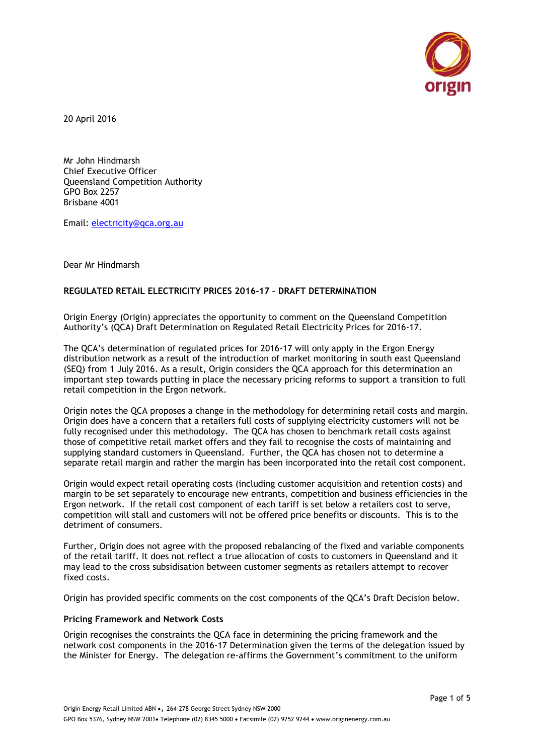

20 April 2016

Mr John Hindmarsh Chief Executive Officer Queensland Competition Authority GPO Box 2257 Brisbane 4001

Email: [electricity@qca.org.au](mailto:electricity@qca.org.au)

Dear Mr Hindmarsh

# **REGULATED RETAIL ELECTRICITY PRICES 2016-17 – DRAFT DETERMINATION**

Origin Energy (Origin) appreciates the opportunity to comment on the Queensland Competition Authority's (QCA) Draft Determination on Regulated Retail Electricity Prices for 2016-17.

The QCA's determination of regulated prices for 2016-17 will only apply in the Ergon Energy distribution network as a result of the introduction of market monitoring in south east Queensland (SEQ) from 1 July 2016. As a result, Origin considers the QCA approach for this determination an important step towards putting in place the necessary pricing reforms to support a transition to full retail competition in the Ergon network.

Origin notes the QCA proposes a change in the methodology for determining retail costs and margin. Origin does have a concern that a retailers full costs of supplying electricity customers will not be fully recognised under this methodology. The QCA has chosen to benchmark retail costs against those of competitive retail market offers and they fail to recognise the costs of maintaining and supplying standard customers in Queensland. Further, the QCA has chosen not to determine a separate retail margin and rather the margin has been incorporated into the retail cost component.

Origin would expect retail operating costs (including customer acquisition and retention costs) and margin to be set separately to encourage new entrants, competition and business efficiencies in the Ergon network. If the retail cost component of each tariff is set below a retailers cost to serve, competition will stall and customers will not be offered price benefits or discounts. This is to the detriment of consumers.

Further, Origin does not agree with the proposed rebalancing of the fixed and variable components of the retail tariff. It does not reflect a true allocation of costs to customers in Queensland and it may lead to the cross subsidisation between customer segments as retailers attempt to recover fixed costs.

Origin has provided specific comments on the cost components of the QCA's Draft Decision below.

## **Pricing Framework and Network Costs**

Origin recognises the constraints the QCA face in determining the pricing framework and the network cost components in the 2016-17 Determination given the terms of the delegation issued by the Minister for Energy. The delegation re-affirms the Government's commitment to the uniform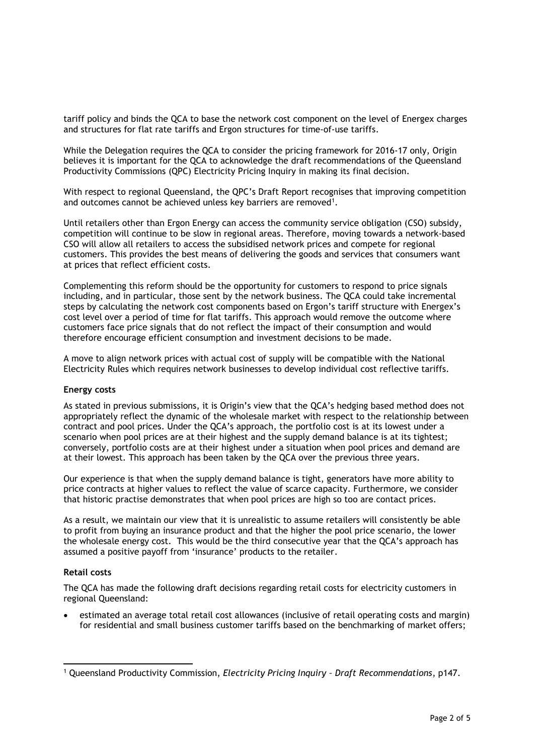tariff policy and binds the QCA to base the network cost component on the level of Energex charges and structures for flat rate tariffs and Ergon structures for time‐of‐use tariffs.

While the Delegation requires the QCA to consider the pricing framework for 2016-17 only, Origin believes it is important for the QCA to acknowledge the draft recommendations of the Queensland Productivity Commissions (QPC) Electricity Pricing Inquiry in making its final decision.

With respect to regional Queensland, the QPC's Draft Report recognises that improving competition and outcomes cannot be achieved unless key barriers are removed<sup>1</sup>.

Until retailers other than Ergon Energy can access the community service obligation (CSO) subsidy, competition will continue to be slow in regional areas. Therefore, moving towards a network-based CSO will allow all retailers to access the subsidised network prices and compete for regional customers. This provides the best means of delivering the goods and services that consumers want at prices that reflect efficient costs.

Complementing this reform should be the opportunity for customers to respond to price signals including, and in particular, those sent by the network business. The QCA could take incremental steps by calculating the network cost components based on Ergon's tariff structure with Energex's cost level over a period of time for flat tariffs. This approach would remove the outcome where customers face price signals that do not reflect the impact of their consumption and would therefore encourage efficient consumption and investment decisions to be made.

A move to align network prices with actual cost of supply will be compatible with the National Electricity Rules which requires network businesses to develop individual cost reflective tariffs.

## **Energy costs**

As stated in previous submissions, it is Origin's view that the QCA's hedging based method does not appropriately reflect the dynamic of the wholesale market with respect to the relationship between contract and pool prices. Under the QCA's approach, the portfolio cost is at its lowest under a scenario when pool prices are at their highest and the supply demand balance is at its tightest; conversely, portfolio costs are at their highest under a situation when pool prices and demand are at their lowest. This approach has been taken by the QCA over the previous three years.

Our experience is that when the supply demand balance is tight, generators have more ability to price contracts at higher values to reflect the value of scarce capacity. Furthermore, we consider that historic practise demonstrates that when pool prices are high so too are contact prices.

As a result, we maintain our view that it is unrealistic to assume retailers will consistently be able to profit from buying an insurance product and that the higher the pool price scenario, the lower the wholesale energy cost. This would be the third consecutive year that the QCA's approach has assumed a positive payoff from 'insurance' products to the retailer.

## **Retail costs**

 $\overline{a}$ 

The QCA has made the following draft decisions regarding retail costs for electricity customers in regional Queensland:

 estimated an average total retail cost allowances (inclusive of retail operating costs and margin) for residential and small business customer tariffs based on the benchmarking of market offers;

<sup>1</sup> Queensland Productivity Commission, *Electricity Pricing Inquiry – Draft Recommendations*, p147.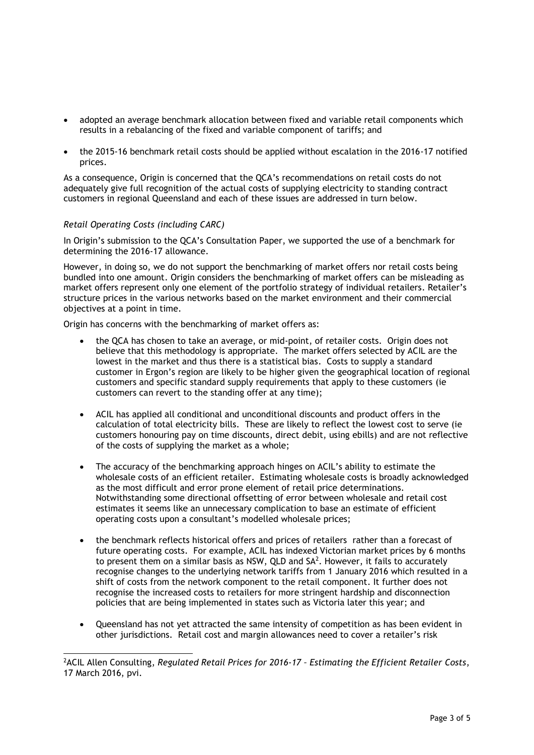- adopted an average benchmark allocation between fixed and variable retail components which results in a rebalancing of the fixed and variable component of tariffs; and
- the 2015-16 benchmark retail costs should be applied without escalation in the 2016-17 notified prices.

As a consequence, Origin is concerned that the QCA's recommendations on retail costs do not adequately give full recognition of the actual costs of supplying electricity to standing contract customers in regional Queensland and each of these issues are addressed in turn below.

# *Retail Operating Costs (including CARC)*

 $\overline{a}$ 

In Origin's submission to the QCA's Consultation Paper, we supported the use of a benchmark for determining the 2016-17 allowance.

However, in doing so, we do not support the benchmarking of market offers nor retail costs being bundled into one amount. Origin considers the benchmarking of market offers can be misleading as market offers represent only one element of the portfolio strategy of individual retailers. Retailer's structure prices in the various networks based on the market environment and their commercial objectives at a point in time.

Origin has concerns with the benchmarking of market offers as:

- the QCA has chosen to take an average, or mid-point, of retailer costs. Origin does not believe that this methodology is appropriate. The market offers selected by ACIL are the lowest in the market and thus there is a statistical bias. Costs to supply a standard customer in Ergon's region are likely to be higher given the geographical location of regional customers and specific standard supply requirements that apply to these customers (ie customers can revert to the standing offer at any time);
- ACIL has applied all conditional and unconditional discounts and product offers in the calculation of total electricity bills. These are likely to reflect the lowest cost to serve (ie customers honouring pay on time discounts, direct debit, using ebills) and are not reflective of the costs of supplying the market as a whole;
- The accuracy of the benchmarking approach hinges on ACIL's ability to estimate the wholesale costs of an efficient retailer. Estimating wholesale costs is broadly acknowledged as the most difficult and error prone element of retail price determinations. Notwithstanding some directional offsetting of error between wholesale and retail cost estimates it seems like an unnecessary complication to base an estimate of efficient operating costs upon a consultant's modelled wholesale prices;
- the benchmark reflects historical offers and prices of retailers rather than a forecast of future operating costs. For example, ACIL has indexed Victorian market prices by 6 months to present them on a similar basis as NSW, QLD and  $SA<sup>2</sup>$ . However, it fails to accurately recognise changes to the underlying network tariffs from 1 January 2016 which resulted in a shift of costs from the network component to the retail component. It further does not recognise the increased costs to retailers for more stringent hardship and disconnection policies that are being implemented in states such as Victoria later this year; and
- Queensland has not yet attracted the same intensity of competition as has been evident in other jurisdictions. Retail cost and margin allowances need to cover a retailer's risk

<sup>2</sup>ACIL Allen Consulting, *Regulated Retail Prices for 2016-17 – Estimating the Efficient Retailer Costs*, 17 March 2016, pvi.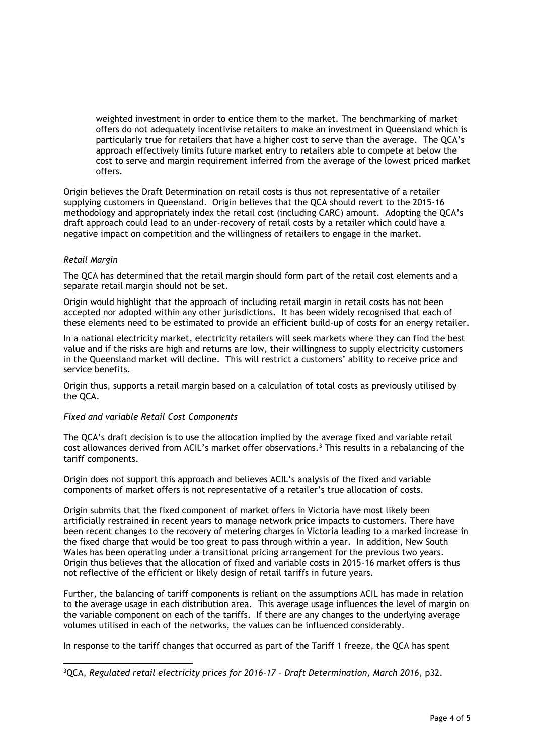weighted investment in order to entice them to the market. The benchmarking of market offers do not adequately incentivise retailers to make an investment in Queensland which is particularly true for retailers that have a higher cost to serve than the average. The QCA's approach effectively limits future market entry to retailers able to compete at below the cost to serve and margin requirement inferred from the average of the lowest priced market offers.

Origin believes the Draft Determination on retail costs is thus not representative of a retailer supplying customers in Queensland. Origin believes that the QCA should revert to the 2015-16 methodology and appropriately index the retail cost (including CARC) amount. Adopting the QCA's draft approach could lead to an under-recovery of retail costs by a retailer which could have a negative impact on competition and the willingness of retailers to engage in the market.

# *Retail Margin*

 $\overline{a}$ 

The QCA has determined that the retail margin should form part of the retail cost elements and a separate retail margin should not be set.

Origin would highlight that the approach of including retail margin in retail costs has not been accepted nor adopted within any other jurisdictions. It has been widely recognised that each of these elements need to be estimated to provide an efficient build-up of costs for an energy retailer.

In a national electricity market, electricity retailers will seek markets where they can find the best value and if the risks are high and returns are low, their willingness to supply electricity customers in the Queensland market will decline. This will restrict a customers' ability to receive price and service benefits.

Origin thus, supports a retail margin based on a calculation of total costs as previously utilised by the QCA.

## *Fixed and variable Retail Cost Components*

The QCA's draft decision is to use the allocation implied by the average fixed and variable retail cost allowances derived from ACIL's market offer observations.<sup>3</sup> This results in a rebalancing of the tariff components.

Origin does not support this approach and believes ACIL's analysis of the fixed and variable components of market offers is not representative of a retailer's true allocation of costs.

Origin submits that the fixed component of market offers in Victoria have most likely been artificially restrained in recent years to manage network price impacts to customers. There have been recent changes to the recovery of metering charges in Victoria leading to a marked increase in the fixed charge that would be too great to pass through within a year. In addition, New South Wales has been operating under a transitional pricing arrangement for the previous two years. Origin thus believes that the allocation of fixed and variable costs in 2015-16 market offers is thus not reflective of the efficient or likely design of retail tariffs in future years.

Further, the balancing of tariff components is reliant on the assumptions ACIL has made in relation to the average usage in each distribution area. This average usage influences the level of margin on the variable component on each of the tariffs. If there are any changes to the underlying average volumes utilised in each of the networks, the values can be influenced considerably.

In response to the tariff changes that occurred as part of the Tariff 1 freeze, the QCA has spent

<sup>3</sup>QCA, *Regulated retail electricity prices for 2016-17 – Draft Determination, March 2016*, p32.